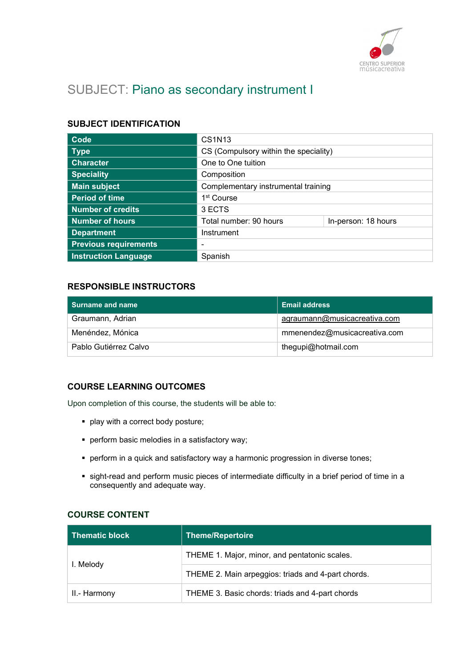

# SUBJECT: Piano as secondary instrument I

## SUBJECT IDENTIFICATION

| Code                         | CS1N13                                |                     |
|------------------------------|---------------------------------------|---------------------|
| <b>Type</b>                  | CS (Compulsory within the speciality) |                     |
| <b>Character</b>             | One to One tuition                    |                     |
| <b>Speciality</b>            | Composition                           |                     |
| <b>Main subject</b>          | Complementary instrumental training   |                     |
| <b>Period of time</b>        | 1 <sup>st</sup> Course                |                     |
| <b>Number of credits</b>     | 3 ECTS                                |                     |
| <b>Number of hours</b>       | Total number: 90 hours                | In-person: 18 hours |
| <b>Department</b>            | Instrument                            |                     |
| <b>Previous requirements</b> |                                       |                     |
| <b>Instruction Language</b>  | Spanish                               |                     |

## RESPONSIBLE INSTRUCTORS

| Surname and name      | <b>Email address</b>         |
|-----------------------|------------------------------|
| Graumann, Adrian      | agraumann@musicacreativa.com |
| Menéndez, Mónica      | mmenendez@musicacreativa.com |
| Pablo Gutiérrez Calvo | thegupi@hotmail.com          |

## COURSE LEARNING OUTCOMES

Upon completion of this course, the students will be able to:

- **•** play with a correct body posture;
- perform basic melodies in a satisfactory way;
- **•** perform in a quick and satisfactory way a harmonic progression in diverse tones;
- sight-read and perform music pieces of intermediate difficulty in a brief period of time in a consequently and adequate way.

#### COURSE CONTENT

| <b>Thematic block</b> | Theme/Repertoire                                   |
|-----------------------|----------------------------------------------------|
| I. Melody             | THEME 1. Major, minor, and pentatonic scales.      |
|                       | THEME 2. Main arpeggios: triads and 4-part chords. |
| II.- Harmony          | THEME 3. Basic chords: triads and 4-part chords    |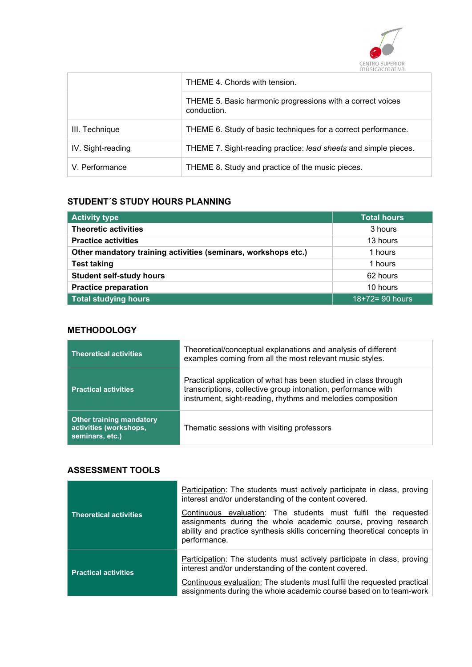

| THEME 4. Chords with tension. |                                                                           |
|-------------------------------|---------------------------------------------------------------------------|
|                               | THEME 5. Basic harmonic progressions with a correct voices<br>conduction. |
| III. Technique                | THEME 6. Study of basic techniques for a correct performance.             |
| IV. Sight-reading             | THEME 7. Sight-reading practice: lead sheets and simple pieces.           |
| V. Performance                | THEME 8. Study and practice of the music pieces.                          |

## STUDENT´S STUDY HOURS PLANNING

| <b>Activity type</b>                                           | <b>Total hours</b> |
|----------------------------------------------------------------|--------------------|
| <b>Theoretic activities</b>                                    | 3 hours            |
| <b>Practice activities</b>                                     | 13 hours           |
| Other mandatory training activities (seminars, workshops etc.) | 1 hours            |
| <b>Test taking</b>                                             | 1 hours            |
| <b>Student self-study hours</b>                                | 62 hours           |
| <b>Practice preparation</b>                                    | 10 hours           |
| <b>Total studying hours</b>                                    | 18+72= 90 hours    |

## **METHODOLOGY**

| <b>Theoretical activities</b>                                                | Theoretical/conceptual explanations and analysis of different<br>examples coming from all the most relevant music styles.                                                                       |
|------------------------------------------------------------------------------|-------------------------------------------------------------------------------------------------------------------------------------------------------------------------------------------------|
| <b>Practical activities</b>                                                  | Practical application of what has been studied in class through<br>transcriptions, collective group intonation, performance with<br>instrument, sight-reading, rhythms and melodies composition |
| <b>Other training mandatory</b><br>activities (workshops,<br>seminars, etc.) | Thematic sessions with visiting professors                                                                                                                                                      |

#### ASSESSMENT TOOLS

| <b>Theoretical activities</b> | <b>Participation:</b> The students must actively participate in class, proving<br>interest and/or understanding of the content covered.<br>Continuous evaluation: The students must fulfil the requested<br>assignments during the whole academic course, proving research<br>ability and practice synthesis skills concerning theoretical concepts in<br>performance. |
|-------------------------------|------------------------------------------------------------------------------------------------------------------------------------------------------------------------------------------------------------------------------------------------------------------------------------------------------------------------------------------------------------------------|
| <b>Practical activities</b>   | Participation: The students must actively participate in class, proving<br>interest and/or understanding of the content covered.<br>Continuous evaluation: The students must fulfil the requested practical<br>assignments during the whole academic course based on to team-work                                                                                      |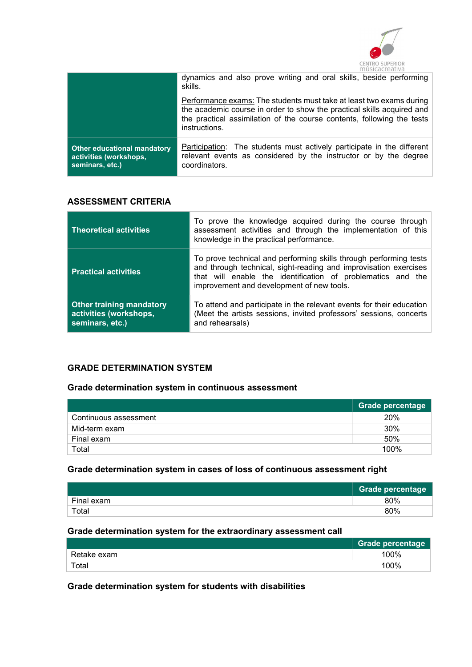

|                                                                                 | dynamics and also prove writing and oral skills, beside performing<br>skills.                                                                                                                                                            |
|---------------------------------------------------------------------------------|------------------------------------------------------------------------------------------------------------------------------------------------------------------------------------------------------------------------------------------|
|                                                                                 | Performance exams: The students must take at least two exams during<br>the academic course in order to show the practical skills acquired and<br>the practical assimilation of the course contents, following the tests<br>instructions. |
| <b>Other educational mandatory</b><br>activities (workshops,<br>seminars, etc.) | <b>Participation:</b> The students must actively participate in the different<br>relevant events as considered by the instructor or by the degree<br>coordinators.                                                                       |

## ASSESSMENT CRITERIA

| <b>Theoretical activities</b>                                                | To prove the knowledge acquired during the course through<br>assessment activities and through the implementation of this<br>knowledge in the practical performance.                                                                              |
|------------------------------------------------------------------------------|---------------------------------------------------------------------------------------------------------------------------------------------------------------------------------------------------------------------------------------------------|
| <b>Practical activities</b>                                                  | To prove technical and performing skills through performing tests<br>and through technical, sight-reading and improvisation exercises<br>that will enable the identification of problematics and the<br>improvement and development of new tools. |
| <b>Other training mandatory</b><br>activities (workshops,<br>seminars, etc.) | To attend and participate in the relevant events for their education<br>(Meet the artists sessions, invited professors' sessions, concerts<br>and rehearsals)                                                                                     |

#### GRADE DETERMINATION SYSTEM

#### Grade determination system in continuous assessment

|                       | <b>Grade percentage</b> |
|-----------------------|-------------------------|
| Continuous assessment | 20%                     |
| Mid-term exam         | 30%                     |
| Final exam            | 50%                     |
| Total                 | 100%                    |

#### Grade determination system in cases of loss of continuous assessment right

|            | <b>Grade percentage</b> |
|------------|-------------------------|
| Final exam | 80%                     |
| Total      | 80%                     |

#### Grade determination system for the extraordinary assessment call

|             | <b>Grade percentage</b> |
|-------------|-------------------------|
| Retake exam | 100%                    |
| Total       | 100%                    |

# Grade determination system for students with disabilities